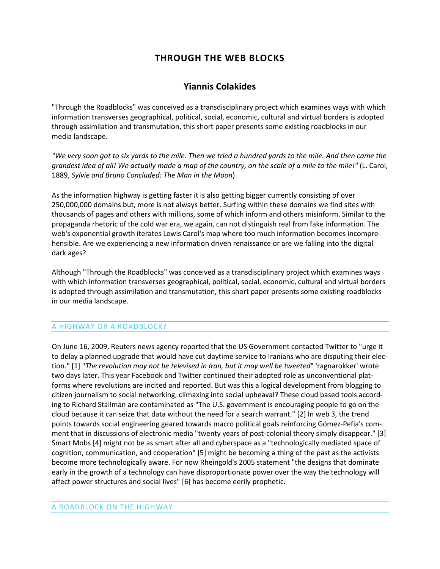# **THROUGH THE WEB BLOCKS**

# **Yiannis Colakides**

"Through the Roadblocks" was conceived as a transdisciplinary project which examines ways with which information transverses geographical, political, social, economic, cultural and virtual borders is adopted through assimilation and transmutation, this short paper presents some existing roadblocks in our media landscape.

*"We very soon got to six yards to the mile. Then we tried a hundred yards to the mile. And then came the grandest idea of all! We actually made a map of the country, on the scale of a mile to the mile!"* (L. Carol, 1889, *Sylvie and Bruno Concluded: The Man in the Moon*)

As the information highway is getting faster it is also getting bigger currently consisting of over 250,000,000 domains but, more is not always better. Surfing within these domains we find sites with thousands of pages and others with millions, some of which inform and others misinform. Similar to the propaganda rhetoric of the cold war era, we again, can not distinguish real from fake information. The web's exponential growth iterates Lewis Carol's map where too much information becomes incomprehensible. Are we experiencing a new information driven renaissance or are we falling into the digital dark ages?

Although "Through the Roadblocks" was conceived as a transdisciplinary project which examines ways with which information transverses geographical, political, social, economic, cultural and virtual borders is adopted through assimilation and transmutation, this short paper presents some existing roadblocks in our media landscape.

#### A HIGHWAY OR A ROADBLOCK?

On June 16, 2009, Reuters news agency reported that the US Government contacted Twitter to "urge it to delay a planned upgrade that would have cut daytime service to Iranians who are disputing their election." [1] "*The revolution may not be televised in Iran, but it may well be tweeted*" 'ragnarokker' wrote two days later. This year Facebook and Twitter continued their adopted role as unconventional platforms where revolutions are incited and reported. But was this a logical development from blogging to citizen journalism to social networking, climaxing into social upheaval? These cloud based tools according to Richard Stallman are contaminated as "The U.S. government is encouraging people to go on the cloud because it can seize that data without the need for a search warrant." [2] In web 3, the trend points towards social engineering geared towards macro political goals reinforcing Gómez-Pefia's comment that in discussions of electronic media "twenty years of post-colonial theory simply disappear." [3] Smart Mobs [4] might not be as smart after all and cyberspace as a "technologically mediated space of cognition, communication, and cooperation" [5] might be becoming a thing of the past as the activists become more technologically aware. For now Rheingold's 2005 statement "the designs that dominate early in the growth of a technology can have disproportionate power over the way the technology will affect power structures and social lives" [6] has become eerily prophetic.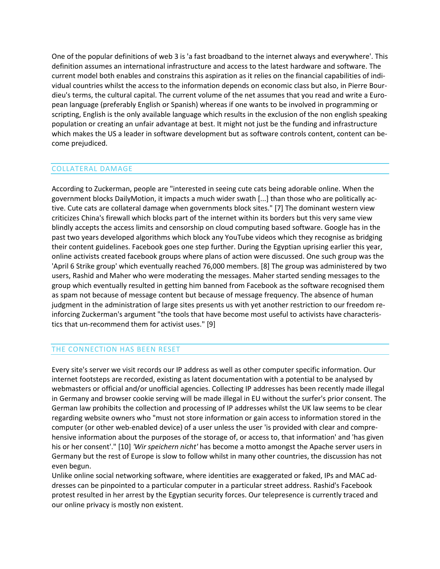One of the popular definitions of web 3 is 'a fast broadband to the internet always and everywhere'. This definition assumes an international infrastructure and access to the latest hardware and software. The current model both enables and constrains this aspiration as it relies on the financial capabilities of individual countries whilst the access to the information depends on economic class but also, in Pierre Bourdieu's terms, the cultural capital. The current volume of the net assumes that you read and write a European language (preferably English or Spanish) whereas if one wants to be involved in programming or scripting, English is the only available language which results in the exclusion of the non english speaking population or creating an unfair advantage at best. It might not just be the funding and infrastructure which makes the US a leader in software development but as software controls content, content can become prejudiced.

#### COLLATERAL DAMAGE

According to Zuckerman, people are "interested in seeing cute cats being adorable online. When the government blocks DailyMotion, it impacts a much wider swath [...] than those who are politically active. Cute cats are collateral damage when governments block sites." [7] The dominant western view criticizes China's firewall which blocks part of the internet within its borders but this very same view blindly accepts the access limits and censorship on cloud computing based software. Google has in the past two years developed algorithms which block any YouTube videos which they recognise as bridging their content guidelines. Facebook goes one step further. During the Egyptian uprising earlier this year, online activists created facebook groups where plans of action were discussed. One such group was the 'April 6 Strike group' which eventually reached 76,000 members. [8] The group was administered by two users, Rashid and Maher who were moderating the messages. Maher started sending messages to the group which eventually resulted in getting him banned from Facebook as the software recognised them as spam not because of message content but because of message frequency. The absence of human judgment in the administration of large sites presents us with yet another restriction to our freedom reinforcing Zuckerman's argument "the tools that have become most useful to activists have characteristics that un-recommend them for activist uses." [9]

## THE CONNECTION HAS BEEN RESET

Every site's server we visit records our IP address as well as other computer specific information. Our internet footsteps are recorded, existing as latent documentation with a potential to be analysed by webmasters or official and/or unofficial agencies. Collecting IP addresses has been recently made illegal in Germany and browser cookie serving will be made illegal in EU without the surfer's prior consent. The German law prohibits the collection and processing of IP addresses whilst the UK law seems to be clear regarding website owners who "must not store information or gain access to information stored in the computer (or other web-enabled device) of a user unless the user 'is provided with clear and comprehensive information about the purposes of the storage of, or access to, that information' and 'has given his or her consent'." [10] *'Wir speichern nicht'* has become a motto amongst the Apache server users in Germany but the rest of Europe is slow to follow whilst in many other countries, the discussion has not even begun.

Unlike online social networking software, where identities are exaggerated or faked, IPs and MAC addresses can be pinpointed to a particular computer in a particular street address. Rashid's Facebook protest resulted in her arrest by the Egyptian security forces. Our telepresence is currently traced and our online privacy is mostly non existent.